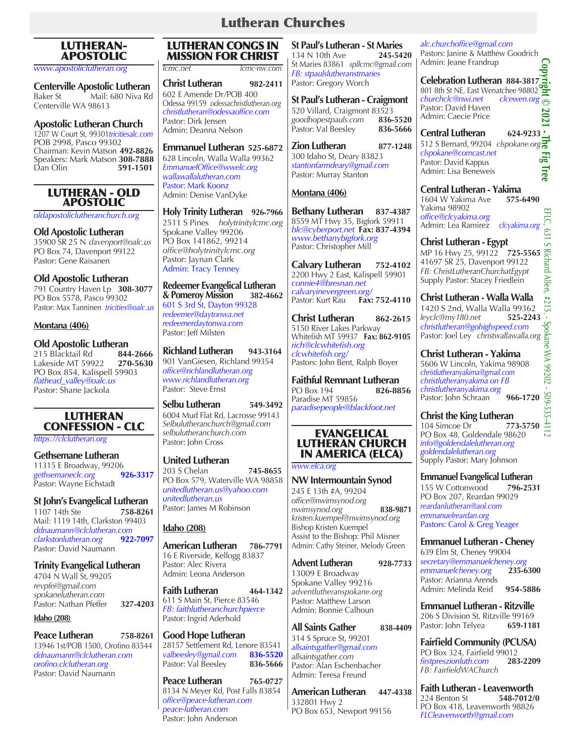# Lutheran Churches

# LUTHERAN-APOSTOLIC

*www.apostoliclutheran.org*

**Centerville Apostolic Lutheran** Baker St Mail: 680 Niva Rd Centerville WA 98613

#### **Apostolic Lutheran Church**

1207 W Court St, 99301*tricitiesalc.com* POB 2998, Pasco 99302 Chairman: Kevin Matson **492-8826** Speakers: Mark Matson **308-7888** Dan Olin **591-1501**

#### LUTHERAN - OLD APOSTOLIC

*oldapostoliclutheranchurch.org*

#### **Old Apostolic Lutheran**

35900 SR 25 N *davenport@oalc.us* PO Box 74, Davenport 99122 Pastor: Gene Raisanen

### **Old Apostolic Lutheran**

791 Country Haven Lp **308-3077** PO Box 5578, Pasco 99302 Pastor: Max Tanninen *tricities@oalc.us*

#### **Montana (406)**

#### **Old Apostolic Lutheran**<br>215 Blacktail Rd **844-2666** 215 Blacktail Rd **844-2666** Lakeside MT 59922 **270-5630** PO Box 854, Kalispell 59903 *flathead\_valley@oalc.us* Pastor: Shane Jackola

# LUTHERAN CONFESSION - CLC

*https://clclutheran.org*

#### **Gethsemane Lutheran** 11315 E Broadway, 99206<br>gethsemaneclc.org 926-3317 *gethsemaneclc.org* **926-3317** Pastor: Wayne Eichstadt

# **St John's Evangelical Lutheran**<br>1107 14th Ste **758-8261**

1107 14th Ste Mail: 1119 14th, Clarkston 99403 *ddnaumann@clclutheran.com*  $clarkstonlutheran.org$ Pastor: David Naumann

### **Trinity Evangelical Lutheran**

4704 N Wall St, 99205 *revpfei@gmail.com spokanelutheran.com* Pastor: Nathan Pfeffer **327-4203**

#### **Idaho (208)**

**Peace Lutheran 758-8261** 13946 1st/POB 1500, Orofino 83544 *ddnaumann@clclutheran.com orofino.clclutheran.org* Pastor: David Naumann

## LUTHERAN CONGS IN MISSION FOR CHRIST

*lcmc.net lcmc-nw.com*

**Christ Lutheran 982-2411** 602 E Amende Dr*/*POB 400 Odessa 99159 *odessachristlutheran.org christlutheran@odessaoffice.com* Pastor: Dirk Jensen Admin: Deanna Nelson

**Emmanuel Lutheran 525-6872** 628 Lincoln, Walla Walla 99362 *EmmanuelOffice@wwelc.org wallawallalutheran.com* Pastor: Mark Koonz

# **Holy Trinity Lutheran 926-7966**

Admin: Denise VanDyke

2511 S Pines *holytrinitylcmc.org* Spokane Valley 99206 PO Box 141862, 99214 *office@holytrinitylcmc.org*  Pastor: Jaynan Clark Admin: Tracy Tenney

#### **Redeemer Evangelical Lutheran & Pomeroy Mission 382-4662**

601 S 3rd St, Dayton 99328 *redeemer@daytonwa.net redeemerdaytonwa.com* Pastor: Jeff Milsten

**Richland Lutheran 943-3164** 901 VanGiesen, Richland 99354 *office@richlandlutheran.org www.richlandlutheran.org* Pastor: Steve Ernst

**Selbu Lutheran 549-3492** 6004 Mud Flat Rd, Lacrosse 99143 *Selbulutheranchurch@gmail.com selbulutheranchurch.com* Pastor: John Cross

### **United Lutheran**

203 S Chelan **745-8655** PO Box 579, Waterville WA 98858 *unitedlutheran.us@yahoo.com unitedlutheran.us* Pastor: James M Robinson

### **Idaho (208)**

**American Lutheran 786-7791** 16 E Riverside, Kellogg 83837 Pastor: Alec Rivera Admin: Leona Anderson

**Faith Lutheran** 464-1342 611 S Main St, Pierce 83546 *FB: faithlutheranchurchpierce* Pastor: Ingrid Aderhold

#### **Good Hope Lutheran** 28157 Settlement Rd, Lenore 83541<br>valbeesley@gmail.com 836-5520 *valbeesley@gmail.com* **836-5520** Pastor: Val Beesley

**Peace Lutheran 765-0727** 8134 N Meyer Rd, Post Falls 83854 *office@peace-lutheran.com peace-lutheran.com* Pastor: John Anderson

**St Paul's Lutheran - St Maries**<br>134 N 10th Ave **245-5420** 134 N 10th Ave St Maries 83861 *spllcmc@gmail.com FB: stpaulslutheranstmaries* Pastor: Gregory Worch

**St Paul's Lutheran - Craigmont** 520 Villard, Craigmont 83523<br>goodhopestpauls.com 836-5520 *goodhopestpauls.com* **836-5520** Pastor: Val Beesley

**Zion Lutheran 877-1248** 300 Idaho St, Deary 83823 *stantonfarmdeary@gmail.com* Pastor: Murray Stanton

# **Montana (406)**

**Bethany Lutheran 837-4387** 8559 MT Hwy 35, Bigfork 59911 *blc@cyberport.net* **Fax: 837-4394** *www.bethanybigfork.org* Pastor: Christopher Mill

**Calvary Lutheran 752-4102** 2200 Hwy 2 East, Kalispell 59901 *connie4@bresnan.net calvaryinevergreen.org/* Pastor: Kurt Rau

**Christ Lutheran 862-2615** 5150 River Lakes Parkway Whitefish MT 59937 **Fax: 862-9105** *rich@clcwhitefish.org clcwhitefish.org/* Pastors: John Bent, Ralph Boyer

**Faithful Remnant Lutheran PO Box 194** Paradise MT 59856 *paradisepeople@blackfoot.net*

#### EVANGELICAL LUTHERAN CHURCH IN AMERICA (ELCA)

*www.elca.org* 

**NW Intermountain Synod** 245 E 13th #A, 99204 *office@nwimsynod.org nwimsynod.org* **838-9871** *kristen.kuempel@nwimsynod.org*  Bishop Kristen Kuempel Assist to the Bishop: Phil Misner Admin: Cathy Steiner, Melody Green

**Advent Lutheran 928-7733** 13009 E Broadway Spokane Valley 99216 *adventlutheranspokane.org* Pastor: Matthew Larson Admin: Bonnie Calhoun

#### **All Saints Gather 838-4409** 314 S Spruce St, 99201 *allsaintsgather@gmail.com allsaintsgather.com* Pastor: Alan Eschenbacher Admin: Teresa Freund

**American Lutheran 447-4338** 332801 Hwy 2 PO Box 653, Newport 99156

*alc.churchoffice@gmail.com* Pastors: Janine & Matthew Goodrich Admin: Jeane Frandrup

**Celebration Lutheran 884-3817**<br>801 8th St NE, East Wenatchee 98802 801 8th St NE, East Wenatchee 98802 *churchclc@nwi.net clcewen.org* Pastor: David Haven 2021 Admin: Caecie Price

**Copyright © 2021 - The Fig Tree Central Lutheran 624-9233** 512 S Bernard, 99204 *clspokane.org clspokane@comcast.net* 묺 Pastor: David Kappus lrec Admin: Lisa Beneweis

**Central Lutheran - Yakima** 1604 W Yakima Ave Yakima 98902 *office@clcyakima.org* Admin: Lea Ramirez *clcyakima.org*

**Christ Lutheran - Egypt** MP 16 Hwy 25, 99122 **725-5565** 41697 SR 25, Davenport 99122 *FB: ChristLutheranChurchatEgypt* Supply Pastor: Stacey Friedlein

**Christ Lutheran - Walla Walla** 1420 S 2nd, Walla Walla 99362<br>levclc@mv180.net 525-224 *leyclc@my180.net* **525-2243** *christlutheran@gohighspeed.com* Pastor: Joel Ley *christwallawalla.org*

**Christ Lutheran - Yakima** 5606 W Lincoln, Yakima 98908 *christlutheranyakima@gmail.com christlutheranyakima on FB christlutheranyakima.org* Pastor: John Schraan **966-1720** 

#### **Christ the King Lutheran**  $\frac{65}{104}$  Simcoe Dr **773-5750** 104 Simcoe Dr PO Box 48, Goldendale 98620 *info@goldendalelutheran.org goldendalelutheran.org* Supply Pastor: Mary Johnson

**Emmanuel Evangelical Lutheran**  155 W Cottonwood **796-2531** PO Box 207, Reardan 99029 *reardanlutheran@aol.com emmanuelreardan.org*

Pastors: Carol & Greg Yeager

**Emmanuel Lutheran - Cheney** 639 Elm St, Cheney 99004 *secretary@emmanuelcheney.org emmanuelcheney.org* **235-6300** Pastor: Arianna Arends Admin: Melinda Reid **954-5886**

**Emmanuel Lutheran - Ritzville** 206 S Division St, Ritzville 99169 Pastor: John Telyea **659-1181**

**Fairfield Community (PCUSA)** PO Box 324, Fairfield 99012<br>
firstpreszionluth.com **283-2209** *firstpreszionluth.com* **283-2209** *FB: FairfieldWAChurch*

**Faith Lutheran - Leavenworth**<br>224 Benton St **548-7012/0** 224 Benton St PO Box 418, Leavenworth 98826 *FLCleavenworth@gmail.com*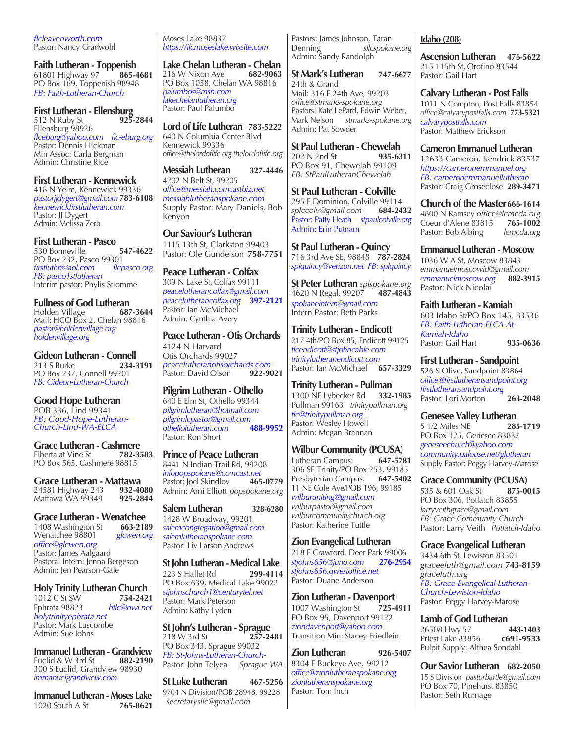*flcleavenworth.com* Pastor: Nancy Gradwohl

**Faith Lutheran - Toppenish**  61801 Highway 97 **865-4681** PO Box 169, Toppenish 98948 *FB: Faith-Lutheran-Church*

**First Lutheran - Ellensburg** 512 N Ruby St **925-2844** Ellensburg 98926 *flceburg@yahoo.com flc-eburg.org* Pastor: Dennis Hickman Min Assoc: Carla Bergman Admin: Christine Rice

**First Lutheran - Kennewick**  418 N Yelm, Kennewick 99336 *pastorjjdygert@gmail.com* **783-6108** *kennewickfirstlutheran.com* Pastor: JJ Dygert Admin: Melissa Zerb

**First Lutheran - Pasco** 530 Bonneville **547-4622** PO Box 232, Pasco 99301<br>firstluthn@aol.com flcpasco.org *firstluthn@aol.com FB: pasco1stlutheran* Interim pastor: Phylis Stromme

**Fullness of God Lutheran Holden Village** Mail: HCO Box 2, Chelan 98816 *pastor@holdenvillage.org holdenvillage.org*

**Gideon Lutheran - Connell**<br>234-3191<br>234-3191 213 S Burke **234-3191**  PO Box 237, Connell 99201 *FB: Gideon-Lutheran-Church*

**Good Hope Lutheran** POB 336, Lind 99341 *FB: Good-Hope-Lutheran-Church-Lind-WA-ELCA* 

**Grace Lutheran - Cashmere**<br>Elberta at Vine St **782-3583** Elberta at Vine St PO Box 565, Cashmere 98815

**Grace Lutheran - Mattawa**<br>24581 Highway 243 **932-4080** 24581 Highway 243 **932-4080** Mattawa WA 99349 **925-2844**

**Grace Lutheran - Wenatchee**<br>1408 Washington St 663-2189 1408 Washington St **663-2189** Wenatchee 98801 *office@glcwen.org*  Pastor: James Aalgaard Pastoral Intern: Jenna Bergeson Admin: Jen Pearson-Gale

**Holy Trinity Lutheran Church**<br>1012 C St SW 754-2421 1012 C St SW **754-2421** Ephrata 98823 *htlc@nwi.net holytrinityephrata.net* Pastor: Mark Luscombe Admin: Sue Johns

**Immanuel Lutheran - Grandview**<br>Euclid & W 3rd St 882-2190 Euclid & W 3rd St 300 S Euclid, Grandview 98930 *immanuelgrandview.com*

**Immanuel Lutheran - Moses Lake**<br>1020 South A St 765-8621 1020 South A St

Moses Lake 98837 *https://ilcmoseslake.wixsite.com*

**Lake Chelan Lutheran - Chelan** 216 W Nixon Ave PO Box 1058, Chelan WA 98816 *palumbos@msn.com lakechelanlutheran.org* Pastor: Paul Palumbo

**Lord of Life Lutheran 783-5222** 640 N Columbia Center Blvd Kennewick 99336 *office@thelordoflife.org thelordoflife.org*

**Messiah Lutheran 327-4446** 4202 N Belt St, 99205 *office@messiah.comcastbiz.net messiahlutheranspokane.com* Supply Pastor: Mary Daniels, Bob Kenyon

**Our Saviour's Lutheran** 1115 13th St, Clarkston 99403 Pastor: Ole Gunderson **758-7751**

**Peace Lutheran - Colfax** 309 N Lake St, Colfax 99111 *peacelutherancolfax@gmail.com peacelutherancolfax.org* **397-2121** Pastor: Ian McMichael Admin: Cynthia Avery

**Peace Lutheran - Otis Orchards** 4124 N Harvard Otis Orchards 99027 *peacelutheranotisorchards.com* Pastor: David Olson

**Pilgrim Lutheran - Othello** 640 E Elm St, Othello 99344 *pilgrimlutheran@hotmail.com pilgrimlcpastor@gmail.com*  $oth$ *ellolutheran.com* Pastor: Ron Short

**Prince of Peace Lutheran** 8441 N Indian Trail Rd, 99208 *infopopspokane@comcast.net* Pastor: Joel Skindlov Admin: Ami Elliott *popspokane.org*

**Salem Lutheran 328-6280** 1428 W Broadway, 99201 *salemcongregation@gmail.com salemlutheranspokane.com* Pastor: Liv Larson Andrews

**St John Lutheran - Medical Lake** 223 S Hallet Rd PO Box 639, Medical Lake 99022 *stjohnschurch1@centurytel.net* Pastor: Mark Peterson Admin: Kathy Lyden

**St John's Lutheran - Sprague**  218 W 3rd St **257-2481**  PO Box 343, Sprague 99032 *FB: St-Johns-Lutheran-Church-*Pastor: John Telyea *Sprague-WA*

**St Luke Lutheran 467-5256** 9704 N Division**/**POB 28948, 99228 *secretarysllc@gmail.com* 

Pastors: James Johnson, Taran Denning *sllcspokane.org* Admin: Sandy Randolph

**St Mark's Lutheran 747-6677** 24th & Grand Mail: 316 E 24th Ave, 99203 *office@stmarks-spokane.org* Pastors: Kate LePard, Edwin Weber, Mark Nelson *stmarks-spokane.org* Admin: Pat Sowder

**St Paul Lutheran - Chewelah**<br>202 N 2nd St **935-6311** 202 N 2nd St PO Box 91, Chewelah 99109 *FB: StPaulLutheranChewelah*

**St Paul Lutheran - Colville** 295 E Dominion, Colville 99114<br>splccolv@gmail.com 684-2432 *splccolv@gmail.com* **684-2432** Pastor: Patty Heath *stpaulcolville.org* Admin: Erin Putnam

**St Paul Lutheran - Quincy** 716 3rd Ave SE, 98848 **787-2824** *splquincy@verizon.net FB: splquincy*

**St Peter Lutheran** *splspokane.org* 4620 N Regal, 99207 **487-4843** *spokaneintern@gmail.com* Intern Pastor: Beth Parks

**Trinity Lutheran - Endicott** 217 4th/PO Box 85, Endicott 99125 *tlcendicott@stjohncable.com trinitylutheranendicott.com* Pastor: Ian McMichael **657-3329**

**Trinity Lutheran - Pullman** 1300 NE Lybecker Rd **332-1985** Pullman 99163 *trinitypullman.org tlc@trinitypullman.org* Pastor: Wesley Howell Admin: Megan Brannan

**Wilbur Community (PCUSA)** Lutheran Campus: **647-5781** 306 SE Trinity/PO Box 253, 99185<br>Presbyterian Campus: 647-5402 Presbyterian Campus: 11 NE Cole Ave/POB 196, 99185 *wilburuniting@gmail.com wilburpastor@gmail.com wilburcommunitychurch.org* Pastor: Katherine Tuttle

**Zion Evangelical Lutheran**  218 E Crawford, Deer Park 99006<br>stjohns656@juno.com 276-2954 *stjohns656@juno.com* **276-2954**  *stjohns656.qwestoffice.net* Pastor: Duane Anderson

**Zion Lutheran - Davenport** 1007 Washington St **725-4911** PO Box 95, Davenport 99122 *ziondavenport@yahoo.com* Transition Min: Stacey Friedlein

**Zion Lutheran 926-5407** 8304 E Buckeye Ave, 99212 *office@zionlutheranspokane.org zionlutheranspokane.org* Pastor: Tom Inch

#### **Idaho (208)**

**Ascension Lutheran 476-5622** 215 115th St, Orofino 83544 Pastor: Gail Hart

**Calvary Lutheran - Post Falls** 1011 N Compton, Post Falls 83854 *office@calvarypostfalls.com* **773-5321** *calvarypostfalls.com* Pastor: Matthew Erickson

**Cameron Emmanuel Lutheran**  12633 Cameron, Kendrick 83537 *https://cameronemmanuel.org FB: cameronemmanuellutheran*  Pastor: Craig Groseclose **289-3471**

**Church of the Master666-1614** 4800 N Ramsey *office@lcmcda.org* Coeur d'Alene 83815 **765-1002** Pastor: Bob Albing *lcmcda.org*

**Emmanuel Lutheran - Moscow**  1036 W A St, Moscow 83843 *emmanuelmoscowid@gmail.com*   $emmanuelmoscow.org$ Pastor: Nick Nicolai

**Faith Lutheran - Kamiah** 603 Idaho St/PO Box 145, 83536 *FB: Faith-Lutheran-ELCA-At-Kamiah-Idaho*  Pastor: Gail Hart **935-0636**

**First Lutheran - Sandpoint** 526 S Olive, Sandpoint 83864 *office@firstlutheransandpoint.org firstlutheransandpoint.org* Pastor: Lori Morton **263-2048**

**Genesee Valley Lutheran** 5 1/2 Miles NE **285-1719** PO Box 125, Genesee 83832 *geneseechurch@yahoo.com community.palouse.net/glutheran* Supply Pastor: Peggy Harvey-Marose

**Grace Community (PCUSA)** 535 & 601 Oak St **875-0015** PO Box 306, Potlatch 83855 *larryveithgrace@gmail.com FB: Grace-Community-Church-*Pastor: Larry Veith *Potlatch-Idaho*

**Grace Evangelical Lutheran**  3434 6th St, Lewiston 83501 *graceeluth@gmail.com* **743-8159** *graceluth.org FB: Grace-Evangelical-Lutheran-Church-Lewiston-Idaho* Pastor: Peggy Harvey-Marose

**Lamb of God Lutheran** 26508 Hwy 57 **443-1403** Priest Lake<sup>83856</sup> Pulpit Supply: Althea Sondahl

**Our Savior Lutheran 682-2050** 15 S Division *pastorbartle@gmail.com* PO Box 70, Pinehurst 83850 Pastor: Seth Rumage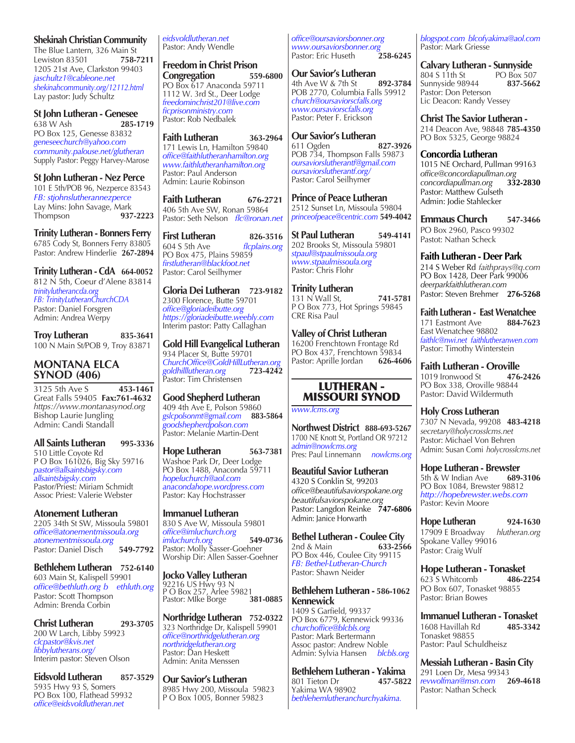#### **Shekinah Christian Community**

The Blue Lantern, 326 Main St Lewiston 83501 **758-7211** 1205 21st Ave, Clarkston 99403 *jaschultz1@cableone.net shekinahcommunity.org/12112.html* Lay pastor: Judy Schultz

**St John Lutheran - Genesee** 638 W Ash **285-1719**  PO Box 125, Genesse 83832 *geneseechurch@yahoo.com community.palouse.net/glutheran* Supply Pastor: Peggy Harvey-Marose

**St John Lutheran - Nez Perce** 101 E 5th/POB 96, Nezperce 83543 *FB: stjohnslutherannezperce* Lay Mins: John Savage, Mark<br>Thompson **937-2223** Thompson **937-2223**

**Trinity Lutheran - Bonners Ferry** 6785 Cody St, Bonners Ferry 83805 Pastor: Andrew Hinderlie **267-2894**

**Trinity Lutheran - CdA 664-0052** 812 N 5th, Coeur d'Alene 83814 *trinitylutherancda.org FB: TrinityLutheranChurchCDA* Pastor: Daniel Forsgren Admin: Andrea Werpy

**Troy Lutheran 835-3641** 100 N Main St/POB 9, Troy 83871

#### **MONTANA ELCA SYNOD (406)**

3125 5th Ave S **453-1461** Great Falls 59405 **Fax:761-4632** *https://www.montanasynod.org* Bishop Laurie Jungling Admin: Candi Standall

**All Saints Lutheran 995-3336** 510 Little Coyote Rd

P O Box 161026, Big Sky 59716 *pastor@allsaintsbigsky.com allsaintsbigsky.com* Pastor/Priest: Miriam Schmidt Assoc Priest: Valerie Webster

**Atonement Lutheran** 2205 34th St SW, Missoula 59801 *office@atonementmissoula.org atonementmissoula.org* Pastor: Daniel Disch **549-7792**

**Bethlehem Lutheran 752-6140** 603 Main St, Kalispell 59901 *office@bethluth.org b ethluth.org* Pastor: Scott Thompson Admin: Brenda Corbin

**Christ Lutheran 293-3705** 200 W Larch, Libby 59923 *clcpastor@kvis.net libbylutherans.org/* Interim pastor: Steven Olson

**Eidsvold Lutheran 857-3529** 5935 Hwy 93 S, Somers PO Box 100, Flathead 59932 *office@eidsvoldlutheran.net*

*eidsvoldlutheran.net* Pastor: Andy Wendle

**Freedom in Christ Prison Congregation 559-6800** PO Box 617 Anaconda 59711 1112 W. 3rd St., Deer Lodge *freedominchrist201@live.com ficprisonministry.com* Pastor: Rob Nedbalek

**Faith Lutheran 363-2964** 171 Lewis Ln, Hamilton 59840 *office@faithlutheranhamilton.org www.faithlutheranhamilton.org* Pastor: Paul Anderson Admin: Laurie Robinson

**Faith Lutheran 676-2721** 406 5th Ave SW, Ronan 59864 Pastor: Seth Nelson *flc@ronan.net*

**First Lutheran 826-3516**<br>604.5.5th Ave *flonlains org* flcplains.org PO Box 475, Plains 59859 *firstlutheran@blackfoot.net* Pastor: Carol Seilhymer

**Gloria Dei Lutheran 723-9182** 2300 Florence, Butte 59701 *office@gloriadeibutte.org https://gloriadeibutte.weebly.com* Interim pastor: Patty Callaghan

**Gold Hill Evangelical Lutheran**  934 Placer St, Butte 59701 *ChurchOffice@GoldHillLutheran.org goldhilllutheran.org* **723-4242** Pastor: Tim Christensen

# **Good Shepherd Lutheran**

409 4th Ave E, Polson 59860 *gslcpolsonmt@gmail.com* **883-5864** *goodshepherdpolson.com* Pastor: Melanie Martin-Dent

#### **Hope Lutheran 563-7381**

Washoe Park Dr, Deer Lodge PO Box 1488, Anaconda 59711 *hopeluchurch@aol.com anacondahope.wordpress.com* Pastor: Kay Hochstrasser

**Immanuel Lutheran**

830 S Ave W, Missoula 59801 *office@imluchurch.org imluchurch.org* **549-0736** Pastor: Molly Sasser-Goehner Worship Dir: Allen Sasser-Goehner

### **Jocko Valley Lutheran**

92216 US Hwy 93 N P O Box 257, Arlee 59821 Pastor: MIke Borge **381-0885**

**Northridge Lutheran 752-0322** 323 Northridge Dr, Kalispell 59901 *office@northridgelutheran.org northridgelutheran.org* Pastor: Dan Heskett Admin: Anita Menssen

**Our Savior's Lutheran** 8985 Hwy 200, Missoula 59823 P O Box 1005, Bonner 59823

*office@oursaviorsbonner.org www.oursaviorsbonner.org* Pastor: Eric Huseth

**Our Savior's Lutheran** 4th Ave W & 7th St **892-3784** POB 2770, Columbia Falls 59912 *church@oursaviorscfalls.org www.oursaviorscfalls.org* Pastor: Peter F. Erickson

**Our Savior's Lutheran** 611 Ogden **827-3926** POB 734, Thompson Falls 59873 *oursaviorslutherantf@gmail.com oursaviorslutherantf.org/* Pastor: Carol Seilhymer

**Prince of Peace Lutheran** 2512 Sunset Ln, Missoula 59804 *princeofpeace@centric.com* **549-4042**

**St Paul Lutheran 549-4141** 202 Brooks St, Missoula 59801 *stpaul@stpaulmissoula.org www.stpaulmissoula.org* Pastor: Chris Flohr

**Trinity Lutheran** 131 N Wall St, **741-5781** P O Box 773, Hot Springs 59845 CRE Risa Paul

**Valley of Christ Lutheran** 16200 Frenchtown Frontage Rd PO Box 437, Frenchtown 59834<br>Pastor: Aprille Jordan 626-4606 Pastor: Aprille Jordan

#### LUTHERAN - MISSOURI SYNOD

*www.lcms.org*

**Northwest District 888-693-5267** 1700 NE Knott St, Portland OR 97212 *admin@nowlcms.org* Pres: Paul Linnemann *nowlcms.org*

**Beautiful Savior Lutheran** 4320 S Conklin St, 99203 *office@beautifulsaviorspokane.org beautifulsaviorspokane.org* Pastor: Langdon Reinke **747-6806** Admin: Janice Horwarth

**Bethel Lutheran - Coulee City**<br>2nd & Main 633-2566 2nd & Main PO Box 446, Coulee City 99115 *FB: Bethel-Lutheran-Church* Pastor: Shawn Neider

**Bethlehem Lutheran - 586-1062 Kennewick**

1409 S Garfield, 99337 PO Box 6779, Kennewick 99336 *churchoffice@blcbls.org*  Pastor: Mark Bertermann Assoc pastor: Andrew Noble Admin: Sylvia Hansen *blcbls.org*

**Bethlehem Lutheran - Yakima**<br>801 Tieton Dr<br>**457-5822** 801 Tieton Dr Yakima WA 98902 *bethlehemlutheranchurchyakima.*

*blogspot.com blcofyakima@aol.com* Pastor: Mark Griesse

**Calvary Lutheran - Sunnyside**<br>804 S 11th St<br>PO Box 507 804 S 11th St PO Box 507<br>Sunnyside 98944 837-5662 Sunnyside 98944 Pastor: Don Peterson Lic Deacon: Randy Vessey

**Christ The Savior Lutheran -**  214 Deacon Ave, 98848 **785-4350** PO Box 5325, George 98824

**Concordia Lutheran**  1015 NE Orchard, Pullman 99163 *office@concordiapullman.org concordiapullman.org* **332-2830** Pastor: Matthew Gulseth Admin: Jodie Stahlecker

**Emmaus Church 547-3466** PO Box 2960, Pasco 99302 Pastot: Nathan Scheck

**Faith Lutheran - Deer Park**

214 S Weber Rd *faithprays@q.com*  PO Box 1428, Deer Park 99006 *deerparkfaithlutheran.com* Pastor: Steven Brehmer **276-5268**

**Faith Lutheran - East Wenatchee** 171 Eastmont Ave **884-7623** East Wenatchee 98802 *faithlc@nwi.net faithlutheranwen.com* Pastor: Timothy Winterstein

**Faith Lutheran - Oroville**<br>1019 Ironwood St**eef + 476-2426** 1019 Ironwood St **476-2426**  PO Box 338, Oroville 98844 Pastor: David Wildermuth

**Holy Cross Lutheran** 7307 N Nevada, 99208 **483-4218** *secretary@holycrosslcms.net* Pastor: Michael Von Behren Admin: Susan Comi *holycrosslcms.net*

**Hope Lutheran - Brewster** 5th & W Indian Ave **689-3106** PO Box 1084, Brewster 98812 *http://hopebrewster.webs.com* Pastor: Kevin Moore

**Hope Lutheran 924-1630** 17909 E Broadway *hlutheran.org* Spokane Valley 99016 Pastor: Craig Wulf

**Hope Lutheran - Tonasket** 623 S Whitcomb **486-2254**  PO Box 607, Tonasket 98855 Pastor: Brian Bowes

**Immanuel Lutheran - Tonasket** 1608 Havillah Rd **485-3342** Tonasket 98855 Pastor: Paul Schuldheisz

**Messiah Lutheran - Basin City** 291 Loen Dr, Mesa 99343<br>revwolfman@msn.com 269-4618 *revwolfman@msn.com* **269-4618** Pastor: Nathan Scheck